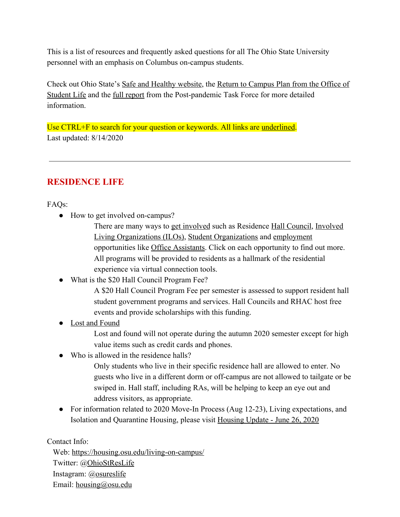This is a list of resources and frequently asked questions for all The Ohio State University personnel with an emphasis on Columbus on-campus students.

Check out Ohio State's [Safe and Healthy website,](https://safeandhealthy.osu.edu/) the [Return to Campus Plan from the Office of](https://studentlife.osu.edu/posts/documents/student-life-return-to-campus-game-plan-7-9-2020-1-final.pdf) [Student Life](https://studentlife.osu.edu/posts/documents/student-life-return-to-campus-game-plan-7-9-2020-1-final.pdf) and the [full report](https://safeandhealthy.osu.edu/sites/default/files/2020/07/safe-campus_6.30.pdf) from the Post-pandemic Task Force for more detailed information.

Use CTRL+F to search for your question or keywords. All links are underlined. Last updated: 8/14/2020

### **RESIDENCE LIFE**

FAQs:

• How to get involved on-campus?

There are many ways to [get involved](https://housing.osu.edu/posts/documents/a-look-at-residence-life.pdf) such as Residence [Hall Council,](http://involvedliving.osu.edu/hall-council/) [Involved](http://involvedliving.osu.edu/) [Living Organizations \(ILOs\),](http://involvedliving.osu.edu/) [Student Organizations](https://activities.osu.edu/involvement/student_organizations/find_a_student_org/) and [employment](https://sfa.osu.edu/jobs) opportunities like [Office Assistants.](https://housing.osu.edu/jobs/) Click on each opportunity to find out more. All programs will be provided to residents as a hallmark of the residential experience via virtual connection tools.

• What is the \$20 Hall Council Program Fee?

A \$20 Hall Council Program Fee per semester is assessed to support resident hall student government programs and services. Hall Councils and RHAC host free events and provide scholarships with this funding.

● [Lost and Found](https://ohiounion.osu.edu/about_us/lost_and_found/)

Lost and found will not operate during the autumn 2020 semester except for high value items such as credit cards and phones.

• Who is allowed in the residence halls?

Only students who live in their specific residence hall are allowed to enter. No guests who live in a different dorm or off-campus are not allowed to tailgate or be swiped in. Hall staff, including RAs, will be helping to keep an eye out and address visitors, as appropriate.

• For information related to 2020 Move-In Process (Aug 12-23), Living expectations, and Isolation and Quarantine Housing, please visit [Housing Update - June 26, 2020](https://housing.osu.edu/articles/urds/140)

Contact Info:

 Web: <https://housing.osu.edu/living-on-campus/> Twitter: @[OhioStResLife](https://twitter.com/ohiostreslife?lang=en) Instagram: [@osureslife](https://www.instagram.com/osureslife/) Email: [housing@osu.edu](mailto:housing@osu.edu)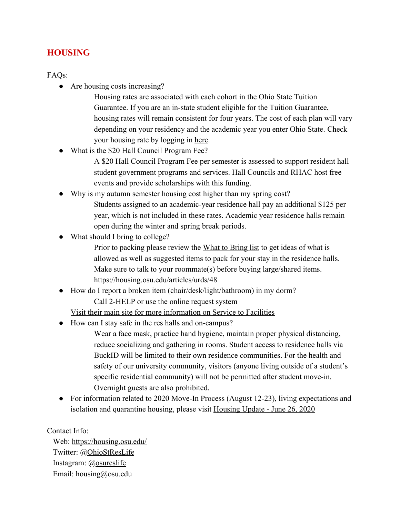#### **HOUSING**

#### FAQs:

● Are housing costs increasing?

Housing rates are associated with each cohort in the Ohio State Tuition Guarantee. If you are an in-state student eligible for the Tuition Guarantee, housing rates will remain consistent for four years. The cost of each plan will vary depending on your residency and the academic year you enter Ohio State. Check your housing rate by logging in [here.](https://housing.osu.edu/living-on-campus/fees-contracts-policies/standard-housing-rates/)

• What is the \$20 Hall Council Program Fee?

A \$20 Hall Council Program Fee per semester is assessed to support resident hall student government programs and services. Hall Councils and RHAC host free events and provide scholarships with this funding.

- Why is my autumn semester housing cost higher than my spring cost? Students assigned to an academic-year residence hall pay an additional \$125 per year, which is not included in these rates. Academic year residence halls remain open during the winter and spring break periods.
- What should I bring to college?

Prior to packing please review the [What to Bring list](https://housing.osu.edu/posts/documents/what-to-bring-columbus-campus.pdf) to get ideas of what is allowed as well as suggested items to pack for your stay in the residence halls. Make sure to talk to your roommate(s) before buying large/shared items. <https://housing.osu.edu/articles/urds/48>

How do I report a broken item (chair/desk/light/bathroom) in my dorm? Call 2-HELP or use th[e](https://s2f.osu.edu/home) [online request system](https://s2f.osu.edu/home)

[Visit their main site for more information on Service to Facilities](https://slfacilities.osu.edu/fs/our-services/service2facilities/)

● How can I stay safe in the res halls and on-campus?

Wear a face mask, practice hand hygiene, maintain proper physical distancing, reduce socializing and gathering in rooms. Student access to residence halls via BuckID will be limited to their own residence communities. For the health and safety of our university community, visitors (anyone living outside of a student's specific residential community) will not be permitted after student move-in. Overnight guests are also prohibited.

• For information related to 2020 Move-In Process (August 12-23), living expectations and isolation and quarantine housing, please visit [Housing Update - June 26, 2020](https://housing.osu.edu/articles/urds/140)

Contact Info:

 Web: [https://housing.osu.edu/](https://housing.osu.edu/living-on-campus/) Twitter: @[OhioStResLife](https://twitter.com/ohiostreslife?lang=en) Instagram: [@osureslife](https://www.instagram.com/osureslife/) Email: housing@osu.edu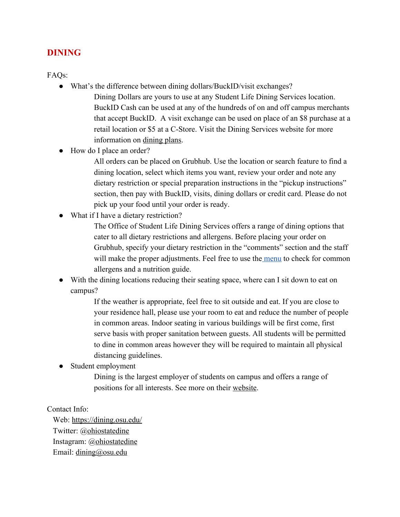#### **DINING**

FAQs:

- What's the difference between dining dollars/BuckID/visit exchanges?
	- Dining Dollars are yours to use at any Student Life Dining Services location. BuckID Cash can be used at any of the hundreds of on and off campus merchants that accept BuckID. A visit exchange can be used on place of an \$8 purchase at a retail location or \$5 at a C-Store. Visit the Dining Services website for more information on [dining plans.](https://dining.osu.edu/dining-plans/columbus-campus-dining-plans/)
- How do I place an order?

All orders can be placed on Grubhub. Use the location or search feature to find a dining location, select which items you want, review your order and note any dietary restriction or special preparation instructions in the "pickup instructions" section, then pay with BuckID, visits, dining dollars or credit card. Please do not pick up your food until your order is ready.

● What if I have a dietary restriction?

The Office of Student Life Dining Services offers a range of dining options that cater to all dietary restrictions and allergens. Before placing your order on Grubhub, specify your dietary restriction in the "comments" section and the staff will make the proper adjustments. Feel free to use th[e menu](https://dining.osu.edu/NetNutrition/1) to check for common allergens and a nutrition guide.

• With the dining locations reducing their seating space, where can I sit down to eat on campus?

> If the weather is appropriate, feel free to sit outside and eat. If you are close to your residence hall, please use your room to eat and reduce the number of people in common areas. Indoor seating in various buildings will be first come, first serve basis with proper sanitation between guests. All students will be permitted to dine in common areas however they will be required to maintain all physical distancing guidelines.

Student employment

Dining is the largest employer of students on campus and offers a range of positions for all interests. See more on thei[r](https://dining.osu.edu/student-employment/) [website.](https://dining.osu.edu/student-employment/)

#### Contact Info:

 Web: <https://dining.osu.edu/> Twitter: @[ohiostatedine](https://twitter.com/ohiostatedine?lang=en) Instagram: [@ohiostatedine](https://www.instagram.com/ohiostatedine/?hl=en) Email: [dining@osu.edu](mailto:dining@osu.edu)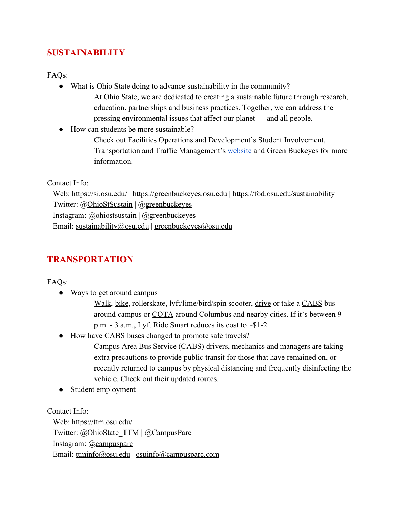### **SUSTAINABILITY**

FAQs:

- What is Ohio State doing to advance sustainability in the community? [At Ohio State,](https://www.osu.edu/initiatives/sustainability/) we are dedicated to creating a sustainable future through research, education, partnerships and business practices. Together, we can address the pressing environmental issues that affect our planet — and all people.
- How can students be more sustainable?
	- Check out Facilities Operations and Development's [Student Involvement,](https://fod.osu.edu/projects-and-services) Transportation and Traffic Management's [website](https://ttm.osu.edu/sustainability) and [Green Buckeyes](https://greenbuckeyes.osu.edu/) for more information.

Contact Info:

 Web: <https://si.osu.edu/>| [https://greenbuckeyes.osu.edu](https://greenbuckeyes.osu.edu/) |<https://fod.osu.edu/sustainability> Twitter: @[OhioStSustain](https://twitter.com/OhioStSustain) | @[greenbuckeyes](https://twitter.com/greenbuckeyes?ref_src=twsrc%5Egoogle%7Ctwcamp%5Eserp%7Ctwgr%5Eauthor) Instagram:  $\omega$ ohiostsustain |  $\omega$ [greenbuckeyes](https://www.instagram.com/greenbuckeyes/?hl=en) Email: [sustainability@osu.edu](mailto:sustainability@osu.edu) | [greenbuckeyes@osu.edu](mailto:greenbuckeyes@osu.edu)

### **TRANSPORTATION**

FAQs:

- Ways to get around campus
	- [Walk,](https://www.osu.edu/map/) [bike](https://ttm.osu.edu/bikes-campus), rollerskate, lyft/lime/bird/spin scooter, [drive](https://osu.campusparc.com/) or take a [CABS](https://ttm.osu.edu/cabs) bus around campus or [COTA](https://www.cota.com/osu-students/) around Columbus and nearby cities. If it's between 9 p.m. - 3 a.m., [Lyft Ride Smart](https://ttm.osu.edu/ride-smart) reduces its cost to ~\$1-2
- How have CABS buses changed to promote safe travels?
	- Campus Area Bus Service (CABS) drivers, mechanics and managers are taking extra precautions to provide public transit for those that have remained on, or recently returned to campus by physical distancing and frequently disinfecting the vehicle. Check out their updated [routes.](https://ttm.osu.edu/cabs)
- [Student employment](https://ttm.osu.edu/jobs)

Contact Info:

 Web: <https://ttm.osu.edu/> Twitter: @[OhioState\\_TTM](https://twitter.com/OhioState_TTM) | [@CampusParc](https://twitter.com/campusparc?lang=en) Instagram: [@campusparc](https://www.instagram.com/campusparc/?hl=en) Email: [ttminfo@osu.edu](mailto:ttminfo@osu.edu) | [osuinfo@campusparc.com](mailto:osuinfo@campusparc.com)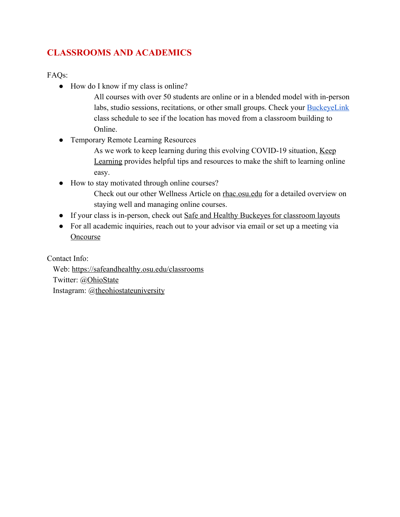## **CLASSROOMS AND ACADEMICS**

FAQs:

- How do I know if my class is online?
	- All courses with over 50 students are online or in a blended model with in-person labs, studio sessions, recitations, or other small groups. Check your **[BuckeyeLink](http://buckeyelink.osu.edu/)** class schedule to see if the location has moved from a classroom building to Online.
- Temporary Remote Learning Resources
	- As we work to keep learning during this evolving COVID-19 situation, [Keep](https://keeplearning.osu.edu/) [Learning](https://keeplearning.osu.edu/) provides helpful tips and resources to make the shift to learning online easy.
- How to stay motivated through online courses?
	- Check out our other Wellness Article on [rhac.osu.edu](http://involvedliving.osu.edu/rhac/) for a detailed overview on staying well and managing online courses.
- If your class is in-person, check out [Safe and Healthy Buckeyes for classroom layouts](https://safeandhealthy.osu.edu/classrooms)
- For all academic inquiries, reach out to your advisor via email or set up a meeting via **[Oncourse](https://buckeyes.campus.eab.com/)**

Contact Info:

 Web: <https://safeandhealthy.osu.edu/classrooms> Twitter: @[OhioState](https://twitter.com/OhioState?ref_src=twsrc%5Egoogle%7Ctwcamp%5Eserp%7Ctwgr%5Eauthor) Instagram: [@theohiostateuniversity](https://www.instagram.com/theohiostateuniversity/)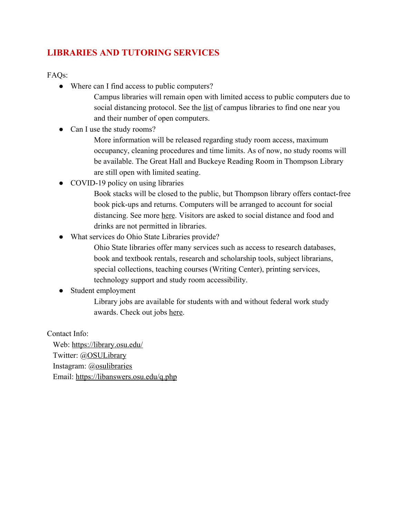## **LIBRARIES AND TUTORING SERVICES**

FAQs:

- Where can I find access to public computers?
	- Campus libraries will remain open with limited access to public computers due to social distancing protocol. See the <u>list</u> of campus libraries to find one near you and their number of open computers.
- Can I use the study rooms?
	- More information will be released regarding study room access, maximum occupancy, cleaning procedures and time limits. As of now, no study rooms will be available. The Great Hall and Buckeye Reading Room in Thompson Library are still open with limited seating.
- COVID-19 policy on using libraries
	- Book stacks will be closed to the public, but Thompson library offers contact-free book pick-ups and returns. Computers will be arranged to account for social distancing. See more [here.](https://library.osu.edu/COVID19) Visitors are asked to social distance and food and drinks are not permitted in libraries.
- What services do Ohio State Libraries provide?
	- Ohio State libraries offer many services such as access to research databases, book and textbook rentals, research and scholarship tools, subject librarians, special collections, teaching courses (Writing Center), printing services, technology support and study room accessibility.
- Student employment
	- Library jobs are available for students with and without federal work study awards. Check out jobs [here.](https://library.osu.edu/library-jobs/student)

Contact Info:

 Web: <https://library.osu.edu/> Twitter: @[OSULibrary](https://twitter.com/OSULibrary) Instagram: [@osulibraries](https://www.instagram.com/OSULibraries/) Email: <https://libanswers.osu.edu/q.php>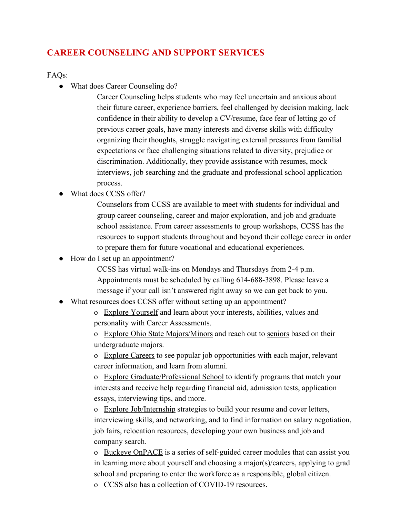#### **CAREER COUNSELING AND SUPPORT SERVICES**

FAQs:

• What does Career Counseling do?

Career Counseling helps students who may feel uncertain and anxious about their future career, experience barriers, feel challenged by decision making, lack confidence in their ability to develop a CV/resume, face fear of letting go of previous career goals, have many interests and diverse skills with difficulty organizing their thoughts, struggle navigating external pressures from familial expectations or face challenging situations related to diversity, prejudice or discrimination. Additionally, they provide assistance with resumes, mock interviews, job searching and the graduate and professional school application process.

What does CCSS offer?

Counselors from CCSS are available to meet with students for individual and group career counseling, career and major exploration, and job and graduate school assistance. From career assessments to group workshops, CCSS has the resources to support students throughout and beyond their college career in order to prepare them for future vocational and educational experiences.

• How do I set up an appointment?

CCSS has virtual walk-ins on Mondays and Thursdays from 2-4 p.m. Appointments must be scheduled by calling 614-688-3898. Please leave a message if your call isn't answered right away so we can get back to you.

What resources does CCSS offer without setting up an appointment?

o [Explore Yourself](https://ccss.osu.edu/undergrads/explore-yourself/) and learn about your interests, abilities, values and personality with Career Assessments.

o [Explore Ohio State Majors/Minors](https://ccss.osu.edu/undergrads/explore-osu-majors-minors/) and reach out to [seniors](http://exploration.osu.edu/current-students/senior-bank-search) based on their undergraduate majors.

o [Explore Careers](https://ccss.osu.edu/undergrads/explore-careers/) to see popular job opportunities with each major, relevant career information, and learn from alumni.

o [Explore Graduate/Professional School](https://ccss.osu.edu/undergrads/explore-graduate-professional-school/) to identify programs that match your interests and receive help regarding financial aid, admission tests, application essays, interviewing tips, and more.

o [Explore Job/Internship](https://ccss.osu.edu/undergrads/job-internship-search-strategies/) strategies to build your resume and cover letters, interviewing skills, and networking, and to find information on salary negotiation, job fairs, [relocation](https://ccss.osu.edu/undergrads/relocation-resources/) resources, [developing your own business](https://ccss.osu.edu/undergrads/developing-your-own-small-business/) and job and company search.

o [Buckeye OnPACE](https://onpace.osu.edu/) is a series of self-guided career modules that can assist you in learning more about yourself and choosing a major(s)/careers, applying to grad school and preparing to enter the workforce as a responsible, global citizen.

o CCSS also has a collection of [COVID-19 resources](https://ccss.osu.edu/covid-19-career-resources/).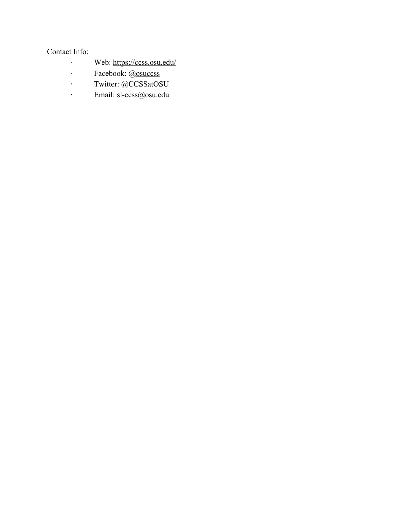#### Contact Info:

- · Web: <https://ccss.osu.edu/>
- · Facebook: @[osuccss](https://www.facebook.com/osuccss/)
- · Twitter: @CCSSatOSU
- · Email: sl-ccss@osu.edu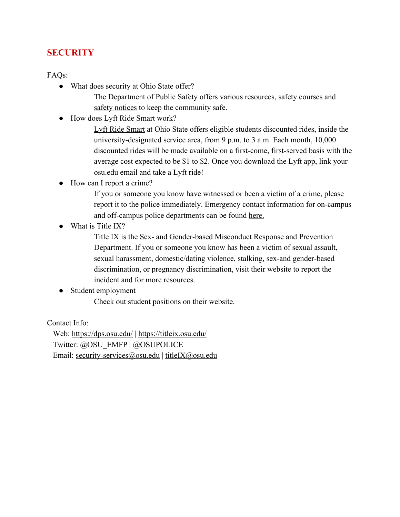#### **SECURITY**

FAQs:

• What does security at Ohio State offer?

The Department of Public Safety offers various [resources](https://dps.osu.edu/resources), [safety courses](https://dps.osu.edu/services-and-programs) and [safety notices](https://dps.osu.edu/crime-0) to keep the community safe.

● How does Lyft Ride Smart work?

[Lyft Ride Smart](https://ttm.osu.edu/get-started) at Ohio State offers eligible students discounted rides, inside the university-designated service area, from 9 p.m. to 3 a.m. Each month, 10,000 discounted rides will be made available on a first-come, first-served basis with the average cost expected to be \$1 to \$2. Once you download the Lyft app, link your osu.edu email and take a Lyft ride!

● How can I report a crime?

If you or someone you know have witnessed or been a victim of a crime, please report it to the police immediately. Emergency contact information for on-campus and off-campus police departments can be found [here.](https://dps.osu.edu/report-crime)

What is Title IX?

[Title IX](https://titleix.osu.edu/) is the Sex- and Gender-based Misconduct Response and Prevention Department. If you or someone you know has been a victim of sexual assault, sexual harassment, domestic/dating violence, stalking, sex-and gender-based discrimination, or pregnancy discrimination, visit their website to report the incident and for more resources.

#### • Student employment

Check out student positions on their [website.](https://dps.osu.edu/jobs)

Contact Info:

 Web: <https://dps.osu.edu/> | <https://titleix.osu.edu/> Twitter: @[OSU\\_EMFP](https://twitter.com/OSU_EMFP) | [@OSUPOLICE](https://twitter.com/osupolice?lang=en) Email: [security-services@osu.edu](mailto:security-services@osu.edu) | [titleIX@osu.edu](mailto:titleIX@osu.edu)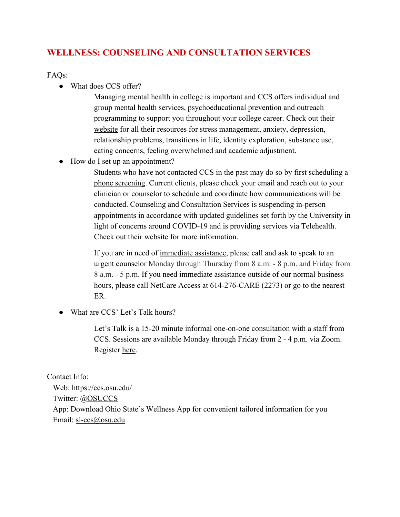#### **WELLNESS: COUNSELING AND CONSULTATION SERVICES**

FAQs:

• What does CCS offer?

Managing mental health in college is important and CCS offers individual and group mental health services, psychoeducational prevention and outreach programming to support you throughout your college career. Check out their [website](https://ccs.osu.edu/about-us-and-our-services/) for all their resources for stress management, anxiety, depression, relationship problems, transitions in life, identity exploration, substance use, eating concerns, feeling overwhelmed and academic adjustment.

● How do I set up an appointment?

Students who have not contacted CCS in the past may do so by first scheduling a [phone screening](https://ccs.osu.edu/schedule-a-phone-screening/). Current clients, please check your email and reach out to your clinician or counselor to schedule and coordinate how communications will be conducted. Counseling and Consultation Services is suspending in-person appointments in accordance with updated guidelines set forth by the University in light of concerns around COVID-19 and is providing services via Telehealth. Check out their [website](https://ccs.osu.edu/ccs-covid-19-updates/) for more information.

If you are in need of [immediate assistance](http://www.ccs.osu.edu/about-us-and-our-services/need-immediate-assistance/), please call and ask to speak to an urgent counselor Monday through Thursday from 8 a.m. - 8 p.m. and Friday from 8 a.m. - 5 p.m. If you need immediate assistance outside of our normal business hours, please call NetCare Access at 614-276-CARE (2273) or go to the nearest ER.

• What are CCS' Let's Talk hours?

Let's Talk is a 15-20 minute informal one-on-one consultation with a staff from CCS. Sessions are available Monday through Friday from 2 - 4 p.m. via Zoom. Register [here.](https://www.signupgenius.com/go/10c0545a8a729a5f85-lets)

Contact Info:

 Web: <https://ccs.osu.edu/> Twitter: @[OSUCCS](https://twitter.com/OSUCCS) App: Download Ohio State's Wellness App for convenient tailored information for you Email: [sl-ccs@osu.edu](mailto:sl-ccs@osu.edu)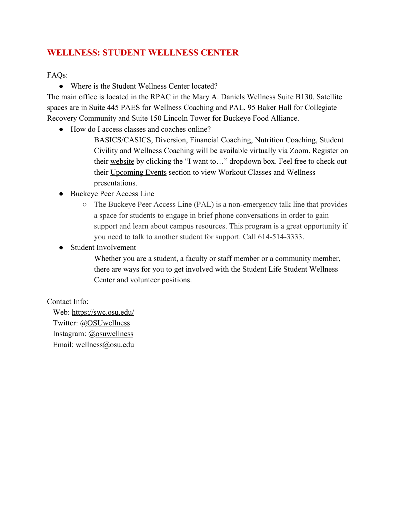### **WELLNESS: STUDENT WELLNESS CENTER**

FAQs:

• Where is the Student Wellness Center located?

The main office is located in the RPAC in the Mary A. Daniels Wellness Suite B130. Satellite spaces are in Suite 445 PAES for Wellness Coaching and PAL, 95 Baker Hall for Collegiate Recovery Community and Suite 150 Lincoln Tower for Buckeye Food Alliance.

● How do I access classes and coaches online?

BASICS/CASICS, Diversion, Financial Coaching, Nutrition Coaching, Student Civility and Wellness Coaching will be available virtually via Zoom. Register on their [website](https://swc.osu.edu/) by clicking the "I want to…" dropdown box. Feel free to check out their [Upcoming Events](https://swc.osu.edu/events.aspx/) section to view Workout Classes and Wellness presentations.

- [Buckeye Peer Access Line](https://swc.osu.edu/services/buckeye-peer-access-line)
	- The Buckeye Peer Access Line (PAL) is a non-emergency talk line that provides a space for students to engage in brief phone conversations in order to gain support and learn about campus resources. This program is a great opportunity if you need to talk to another student for support. Call 614-514-3333.
- Student Involvement
	- Whether you are a student, a faculty or staff member or a community member, there are ways for you to get involved with the Student Life Student Wellness Center and [volunteer positions.](https://swc.osu.edu/get-involved/volunteer-opportunities/)

Contact Info:

 Web: <https://swc.osu.edu/> Twitter: @[OSUwellness](https://twitter.com/OSUwellness) Instagram: [@osuwellness](https://www.instagram.com/osuwellness/) Email: wellness@osu.edu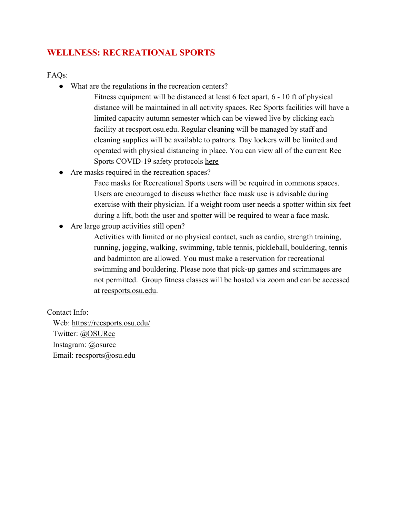#### **WELLNESS: RECREATIONAL SPORTS**

FAQs:

• What are the regulations in the recreation centers?

Fitness equipment will be distanced at least 6 feet apart, 6 - 10 ft of physical distance will be maintained in all activity spaces. Rec Sports facilities will have a limited capacity autumn semester which can be viewed live by clicking each facility at recsport.osu.edu. Regular cleaning will be managed by staff and cleaning supplies will be available to patrons. Day lockers will be limited and operated with physical distancing in place. You can view all of the current Rec Sports COVID-19 safety protocols [here](https://recsports.osu.edu/covid-19)

Are masks required in the recreation spaces?

Face masks for Recreational Sports users will be required in commons spaces. Users are encouraged to discuss whether face mask use is advisable during exercise with their physician. If a weight room user needs a spotter within six feet during a lift, both the user and spotter will be required to wear a face mask.

Are large group activities still open?

Activities with limited or no physical contact, such as cardio, strength training, running, jogging, walking, swimming, table tennis, pickleball, bouldering, tennis and badminton are allowed. You must make a reservation for recreational swimming and bouldering. Please note that pick-up games and scrimmages are not permitted. Group fitness classes will be hosted via zoom and can be accessed at [recsports.osu.edu.](https://recsports.osu.edu/)

Contact Info:

 Web: <https://recsports.osu.edu/> Twitter: @[OSURec](https://twitter.com/osurec) Instagram: [@osurec](https://www.instagram.com/osurec/) Email: recsports@osu.edu